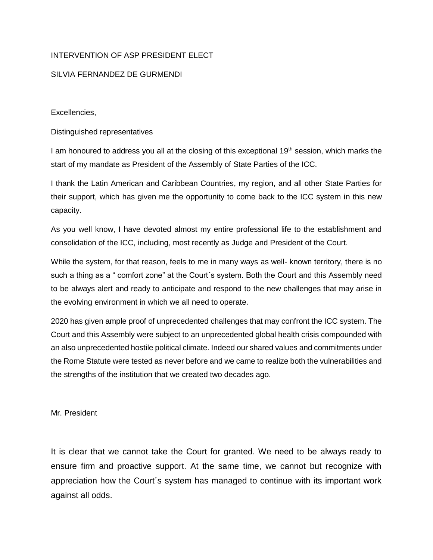## INTERVENTION OF ASP PRESIDENT ELECT

## SILVIA FERNANDEZ DE GURMENDI

Excellencies,

Distinguished representatives

I am honoured to address you all at the closing of this exceptional  $19<sup>th</sup>$  session, which marks the start of my mandate as President of the Assembly of State Parties of the ICC.

I thank the Latin American and Caribbean Countries, my region, and all other State Parties for their support, which has given me the opportunity to come back to the ICC system in this new capacity.

As you well know, I have devoted almost my entire professional life to the establishment and consolidation of the ICC, including, most recently as Judge and President of the Court.

While the system, for that reason, feels to me in many ways as well- known territory, there is no such a thing as a " comfort zone" at the Court´s system. Both the Court and this Assembly need to be always alert and ready to anticipate and respond to the new challenges that may arise in the evolving environment in which we all need to operate.

2020 has given ample proof of unprecedented challenges that may confront the ICC system. The Court and this Assembly were subject to an unprecedented global health crisis compounded with an also unprecedented hostile political climate. Indeed our shared values and commitments under the Rome Statute were tested as never before and we came to realize both the vulnerabilities and the strengths of the institution that we created two decades ago.

Mr. President

It is clear that we cannot take the Court for granted. We need to be always ready to ensure firm and proactive support. At the same time, we cannot but recognize with appreciation how the Court´s system has managed to continue with its important work against all odds.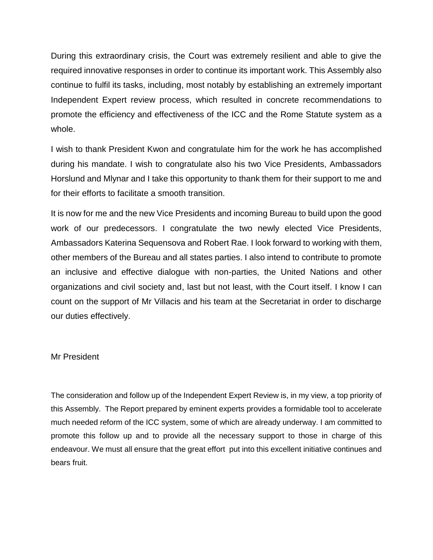During this extraordinary crisis, the Court was extremely resilient and able to give the required innovative responses in order to continue its important work. This Assembly also continue to fulfil its tasks, including, most notably by establishing an extremely important Independent Expert review process, which resulted in concrete recommendations to promote the efficiency and effectiveness of the ICC and the Rome Statute system as a whole.

I wish to thank President Kwon and congratulate him for the work he has accomplished during his mandate. I wish to congratulate also his two Vice Presidents, Ambassadors Horslund and Mlynar and I take this opportunity to thank them for their support to me and for their efforts to facilitate a smooth transition.

It is now for me and the new Vice Presidents and incoming Bureau to build upon the good work of our predecessors. I congratulate the two newly elected Vice Presidents, Ambassadors Katerina Sequensova and Robert Rae. I look forward to working with them, other members of the Bureau and all states parties. I also intend to contribute to promote an inclusive and effective dialogue with non-parties, the United Nations and other organizations and civil society and, last but not least, with the Court itself. I know I can count on the support of Mr Villacis and his team at the Secretariat in order to discharge our duties effectively.

## Mr President

The consideration and follow up of the Independent Expert Review is, in my view, a top priority of this Assembly. The Report prepared by eminent experts provides a formidable tool to accelerate much needed reform of the ICC system, some of which are already underway. I am committed to promote this follow up and to provide all the necessary support to those in charge of this endeavour. We must all ensure that the great effort put into this excellent initiative continues and bears fruit.